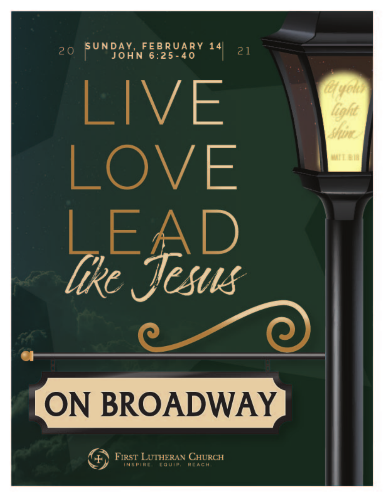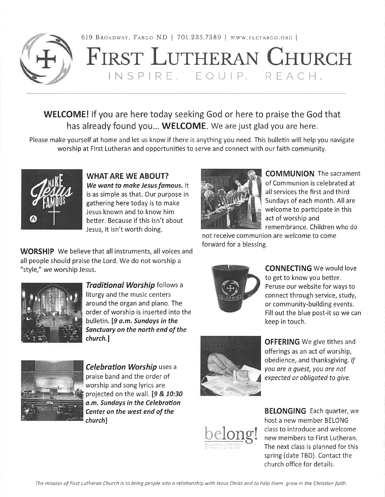

619 BROADWAY, FARGO ND | 701.235.7389 | WWW.FLCFARGO.ORG |

## FIRST LUTHERAN CHURCH INSPIRE, EQUIP, REACH.

**WELCOME!** If you are here today seeking God or here to praise the God that has already found you... WELCOME. We are just glad you are here.

Please make yourself at home and let us know if there is anything you need. This bulletin will help you navigate worship at First Lutheran and opportunities to serve and connect with our faith community.



**WHAT ARE WE ABOUT?** We want to make Jesus famous. It is as simple as that. Our purpose in gathering here today is to make Jesus known and to know him better. Because if this isn't about Jesus, it isn't worth doing.

**WORSHIP** We believe that all instruments, all voices and all people should praise the Lord. We do not worship a "style," we worship Jesus.



**Traditional Worship follows a** liturgy and the music centers around the organ and piano. The order of worship is inserted into the bulletin. [9 a.m. Sundays in the Sanctuary on the north end of the church.]



**Celebration Worship uses a** praise band and the order of worship and song lyrics are projected on the wall. [9 & 10:30 a.m. Sundays in the Celebration Center on the west end of the church]



**OFFERING** We give tithes and offerings as an act of worship, obedience, and thanksgiving. If you are a guest, you are not expected or obligated to give.



**BELONGING** Each quarter, we host a new member BELONG class to introduce and welcome new members to First Lutheran. The next class is planned for this spring (date TBD). Contact the church office for details.



**COMMUNION** The sacrament of Communion is celebrated at all services the first and third Sundays of each month. All are welcome to participate in this act of worship and remembrance. Children who do

not receive communion are welcome to come forward for a blessing.



**CONNECTING** We would love to get to know you better. Peruse our website for ways to connect through service, study, or community-building events. Fill out the blue post-it so we can keep in touch.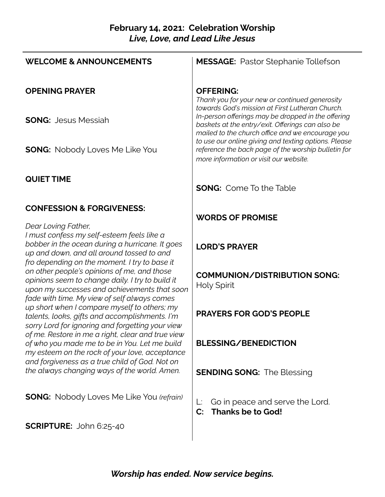#### **February 14, 2021: Celebration Worship** *Live, Love, and Lead Like Jesus*

| <b>WELCOME &amp; ANNOUNCEMENTS</b>                                                                                                                                                                                 | <b>MESSAGE:</b> Pastor Stephanie Tollefson                                                                                                                 |
|--------------------------------------------------------------------------------------------------------------------------------------------------------------------------------------------------------------------|------------------------------------------------------------------------------------------------------------------------------------------------------------|
| <b>OPENING PRAYER</b>                                                                                                                                                                                              | <b>OFFERING:</b><br>Thank you for your new or continued generosity<br>towards God's mission at First Lutheran Church.                                      |
| <b>SONG: Jesus Messiah</b>                                                                                                                                                                                         | In-person offerings may be dropped in the offering<br>baskets at the entry/exit. Offerings can also be<br>mailed to the church office and we encourage you |
| <b>SONG:</b> Nobody Loves Me Like You                                                                                                                                                                              | to use our online giving and texting options. Please<br>reference the back page of the worship bulletin for<br>more information or visit our website.      |
| <b>QUIET TIME</b>                                                                                                                                                                                                  | <b>SONG:</b> Come To the Table                                                                                                                             |
| <b>CONFESSION &amp; FORGIVENESS:</b>                                                                                                                                                                               | <b>WORDS OF PROMISE</b>                                                                                                                                    |
| Dear Loving Father,<br>I must confess my self-esteem feels like a<br>bobber in the ocean during a hurricane. It goes<br>up and down, and all around tossed to and<br>fro depending on the moment. I try to base it | <b>LORD'S PRAYER</b>                                                                                                                                       |
| on other people's opinions of me, and those<br>opinions seem to change daily. I try to build it<br>upon my successes and achievements that soon                                                                    | <b>COMMUNION/DISTRIBUTION SONG:</b><br><b>Holy Spirit</b>                                                                                                  |
| fade with time. My view of self always comes<br>up short when I compare myself to others; my<br>talents, looks, gifts and accomplishments. I'm<br>sorry Lord for ignoring and forgetting your view                 | <b>PRAYERS FOR GOD'S PEOPLE</b>                                                                                                                            |
| of me. Restore in me a right, clear and true view<br>of who you made me to be in You. Let me build<br>my esteem on the rock of your love, acceptance<br>and forgiveness as a true child of God. Not on             | <b>BLESSING/BENEDICTION</b>                                                                                                                                |
| the always changing ways of the world. Amen.                                                                                                                                                                       | <b>SENDING SONG: The Blessing</b>                                                                                                                          |
| <b>SONG:</b> Nobody Loves Me Like You (refrain)                                                                                                                                                                    | Go in peace and serve the Lord.<br>Ŀ.<br><b>Thanks be to God!</b><br>$\mathbf{C}$ :                                                                        |
| <b>SCRIPTURE:</b> John 6:25-40                                                                                                                                                                                     |                                                                                                                                                            |

*Worship has ended. Now service begins.*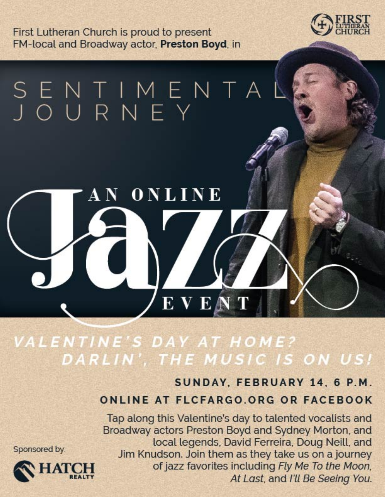First Lutheran Church is proud to present FM-local and Broadway actor, Preston Boyd, in

 $\mathbf A\, \mathbf N^-$ 



# SENTIMENTA<br>JOURNEY

### VALENTINE'S DAY AT HOME? DARLIN', THE MUSIC IS ON US!

E V E A

ONLINE

# SUNDAY, FEBRUARY 14, 6 P.M.

#### **ONLINE AT FLCFARGO.ORG OR FACEBOOK**

Tap along this Valentine's day to talented vocalists and Broadway actors Preston Boyd and Sydney Morton, and local legends, David Ferreira, Doug Neill, and Jim Knudson. Join them as they take us on a journey of jazz favorites including Fly Me To the Moon, At Last, and I'll Be Seeing You.

Sponsored by:

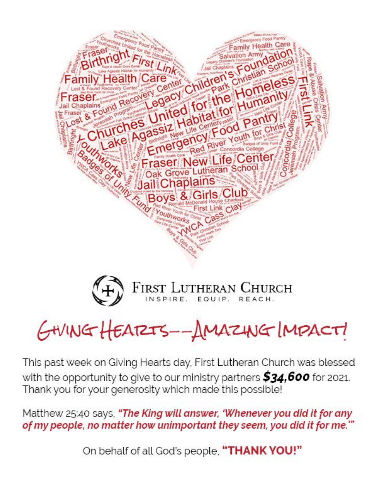



# GHINGHEATZTS--AMAZHIGIMPACTI

This past week on Giving Hearts day, First Lutheran Church was blessed with the opportunity to give to our ministry partners \$34,600 for 2021. Thank you for your generosity which made this possible!

Matthew 25:40 says, "The King will answer, 'Whenever you did it for any of my people, no matter how unimportant they seem, you did it for me.""

On behalf of all God's people, "THANK YOU!"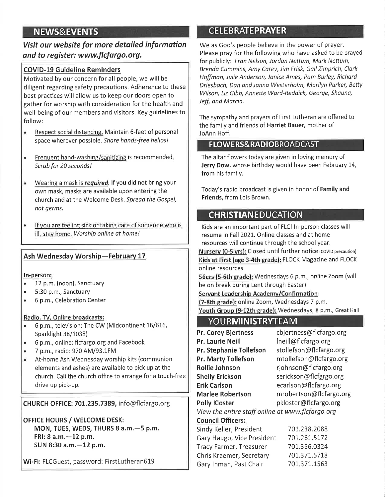#### **NEWS&EVENTS**

Visit our website for more detailed information and to register: www.flcfargo.org.

#### **COVID-19 Guideline Reminders**

Motivated by our concern for all people, we will be diligent regarding safety precautions. Adherence to these best practices will allow us to keep our doors open to gather for worship with consideration for the health and well-being of our members and visitors. Key guidelines to follow:

- Respect social distancing. Maintain 6-feet of personal space wherever possible. Share hands-free hellos!
- Frequent hand-washing/sanitizing is recommended.  $\bullet$ Scrub for 20 seconds!
- Wearing a mask is required. If you did not bring your  $\bullet$ own mask, masks are available upon entering the church and at the Welcome Desk. Spread the Gospel, not germs.
- If you are feeling sick or taking care of someone who is ill, stay home. Worship online at home!

#### Ash Wednesday Worship-February 17

#### In-person:

- 12 p.m. (noon), Sanctuary  $\bullet$
- 5:30 p.m., Sanctuary  $\bullet$
- 6 p.m., Celebration Center  $\bullet$

#### Radio, TV, Online broadcasts:

- 6 p.m., television: The CW (Midcontinent 16/616,  $\bullet$ Sparklight 38/1038)
- 6 p.m., online: flcfargo.org and Facebook  $\bullet$
- 7 p.m., radio: 970 AM/93.1FM
- At-home Ash Wednesday worship kits (communion elements and ashes) are available to pick up at the church. Call the church office to arrange for a touch-free drive up pick-up.

CHURCH OFFICE: 701.235.7389, info@flcfargo.org

**OFFICE HOURS / WELCOME DESK:** MON, TUES, WEDS, THURS 8 a.m. - 5 p.m. FRI: 8 a.m. - 12 p.m. SUN 8:30 a.m. - 12 p.m.

Wi-Fi: FLCGuest, password: FirstLutheran619

#### **CELEBRATEPRAYER**

We as God's people believe in the power of prayer. Please pray for the following who have asked to be prayed for publicly: Fran Nelson, Jordan Nettum, Mark Nettum, Brenda Cummins, Amy Carey, Jim Frisk, Gail Zimprich, Clark Hoffman, Julie Anderson, Janice Ames, Pam Burley, Richard Driesbach, Dan and Janna Westerholm, Marilyn Parker, Betty Wilson, Liz Gibb, Annette Ward-Reddick, George, Shauna, Jeff, and Marcia.

The sympathy and prayers of First Lutheran are offered to the family and friends of Harriet Bauer, mother of JoAnn Hoff.

#### **FLOWERS&RADIOBROADCAST**

The altar flowers today are given in loving memory of Jerry Dow, whose birthday would have been February 14, from his family.

Today's radio broadcast is given in honor of Family and Friends, from Lois Brown.

#### **CHRISTIANEDUCATION**

Kids are an important part of FLC! In-person classes will resume in Fall 2021. Online classes and at home resources will continue through the school year. Nursery (0-5 yrs): Closed until further notice (COVID precaution) Kids at First (age 3-4th grade): FLOCK Magazine and FLOCK online resources

56ers (5-6th grade): Wednesdays 6 p.m., online Zoom (will be on break during Lent through Easter)

Servant Leadership Academy/Confirmation

(7-8th grade): online Zoom, Wednesdays 7 p.m. Youth Group (9-12th grade): Wednesdays, 8 p.m., Great Hall

#### **YOURMINISTRYTEAM**

| <b>Pr. Corey Bjertness</b>                       | cbjertness@flcfargo.org |
|--------------------------------------------------|-------------------------|
| Pr. Laurie Neill                                 | Ineill@flcfargo.org     |
| Pr. Stephanie Tollefson                          | stollefson@flcfargo.org |
| <b>Pr. Marty Tollefson</b>                       | mtollefson@flcfargo.org |
| <b>Rollie Johnson</b>                            | rjohnson@flcfargo.org   |
| <b>Shelly Erickson</b>                           | serickson@flcfargo.org  |
| <b>Erik Carlson</b>                              | ecarlson@flcfargo.org   |
| <b>Marlee Robertson</b>                          | mrobertson@flcfargo.org |
| <b>Polly Kloster</b>                             | pkloster@flcfargo.org   |
| View the entire staff online at www.flcfargo.org |                         |
| <b>Council Officers:</b>                         |                         |
| Sindy Keller, President                          | 701.238.2088            |
| Gary Haugo, Vice President                       | 701.261.5172            |
| <b>Tracy Farmer, Treasurer</b>                   | 701.356.0324            |
| Chris Kraemer, Secretary                         | 701.371.5718            |
| Gary Inman, Past Chair                           | 701.371.1563            |